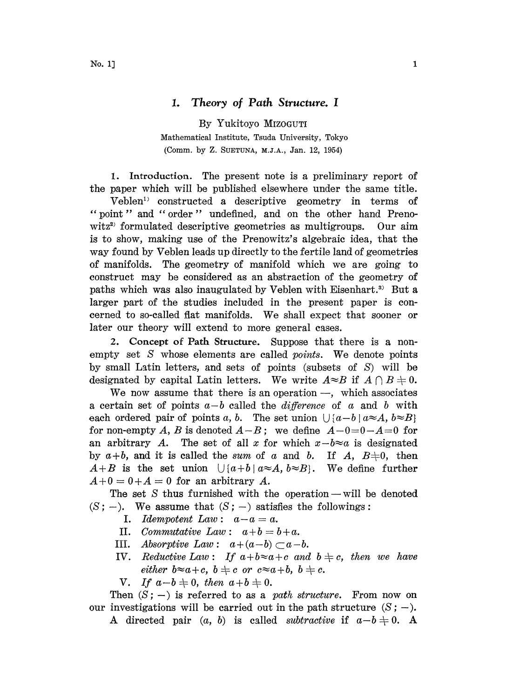## 1. Theory of Path Structure. <sup>I</sup>

By Yukitoyo MIZOGUTI Mathematical Institute, Tsuda University, Tokyo

(Comm. by Z. SUETUNA, M.J.A., Jan. 12, 1954)

1. Introduction. The present note is a preliminary report of the paper which will be published elsewhere under the same title.

Veblen<sup>1</sup> constructed a descriptive geometry in terms of " point" and " order" undefined, and on the other hand Prenowitz<sup>2)</sup> formulated descriptive geometries as multigroups. Our aim is to show, making use of the Prenowitz's algebraic idea, that the way found by Veblen leads up directly to the fertile land of geometries of manifolds. The geometry of manifold which we are going to construct may be considered as an abstraction of the geometry of paths which was also inaugulated by Veblen with Eisenhart.<sup>3)</sup> But a larger part of the studies included in the present paper is concerned to so-called flat manifolds. We shall expect that sooner or later our theory will extend to more general cases.

2. Concept of Path Structure. Suppose that there is a nonempty set S whose elements are called *points*. We denote points by small Lutin letters, and sets of points (subsets of S) will be designated by capital Latin letters. We write  $A \approx B$  if  $A \cap B = 0$ .

We now assume that there is an operation  $-$ , which associates a certain set of points  $a-b$  called the *difference* of a and b with each ordered pair of points a, b. The set union  $\bigcup \{a-b \mid a \approx A, b \approx B\}$ for non-empty A, B is denoted  $A-B$ ; we define  $A-0=0-A=0$  for an arbitrary A. The set of all x for which  $x-b\approx a$  is designated by  $a+b$ , and it is called the sum of a and b. If A,  $B\neq0$ , then  $A+B$  is the set union  $\bigcup \{a+b \mid a \approx A, b \approx B\}$ . We define further  $A+0= 0+A=0$  for an arbitrary A.

The set  $S$  thus furnished with the operation — will be denoted  $(S; -)$ . We assume that  $(S; -)$  satisfies the followings:

- I. Idempotent Law :  $a-a=a$ .
- II. Commutative Law:  $a+b = b+a$ .
- III. Absorptive Law:  $a+(a-b) \subset a-b$ .
- IV. Reductive Law: If  $a+b\approx a+c$  and  $b \neq c$ , then we have either  $b \approx a+c$ ,  $b \neq c$  or  $c \approx a+b$ ,  $b \neq c$ .
- V. If  $a-b\neq0$ , then  $a+b\neq0$ .

Then  $(S; -)$  is referred to as a *path structure*. From now on our investigations will be carried out in the path structure  $(S; -)$ .

A directed pair  $(a, b)$  is called *subtractive* if  $a-b \neq 0$ . A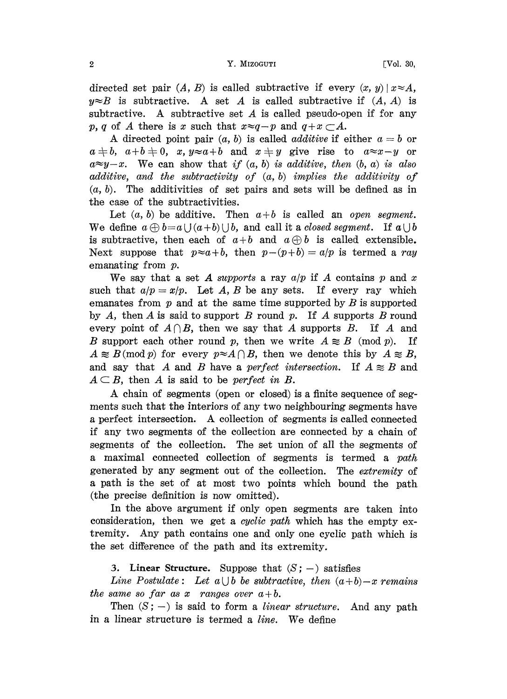#### 2 Strategy of the Contract of the Contract of the Contract of the Contract of the Contract of the Contract of the Contract of the Contract of the Contract of the Contract of the Contract of the Contract of the Contract of

directed set pair  $(A, B)$  is called subtractive if every  $(x, y) | x \approx A$ ,  $y \approx B$  is subtractive. A set A is called subtractive if  $(A, A)$  is subtractive. A subtractive set A is called pseudo-open if for any p, q of A there is x such that  $x \approx q - p$  and  $q + x \subset A$ .

A directed point pair  $(a, b)$  is called *additive* if either  $a = b$  or  $a \neq b$ ,  $a+b \neq 0$ , x,  $y \approx a+b$  and  $x \neq y$  give rise to  $a \approx x-y$  or  $a \approx y-x$ . We can show that if  $(a, b)$  is additive, then  $(b, a)$  is also additive, and the subtractivity of  $(a, b)$  implies the additivity of  $(a, b)$ . The additivities of set pairs and sets will be defined as in the case of the subtractivities.

Let  $(a, b)$  be additive. Then  $a+b$  is called an open segment. We define  $a \oplus b = a \cup (a+b) \cup b$ , and call it a closed segment. If  $a \cup b$ is subtractive, then each of  $a+b$  and  $a\oplus b$  is called extensible. Next suppose that  $p \approx a + b$ , then  $p - (p + b) = a/p$  is termed a ray emanating from p.

We say that a set A supports a ray  $a/p$  if A contains p and x such that  $a/p = x/p$ . Let A, B be any sets. If every ray which emanates from  $p$  and at the same time supported by  $B$  is supported by A, then A is said to support B round  $p$ . If A supports B round every point of  $A \cap B$ , then we say that A supports B. If A and B support each other round p, then we write  $A \n\approx B \pmod{p}$ . If  $A \n\approx B \pmod{p}$  for every  $p \approx A \bigcap B$ , then we denote this by  $A \n\approx B$ , and say that A and B have a perfect intersection. If  $A \approx B$  and  $A \subseteq B$ , then A is said to be perfect in B.

A chain of segments (open or closed) is a finite sequence of segments such that the interiors of any two neighbouring segments have <sup>a</sup> perfect intersection. A collection of segments is called connected if any two segments of the collection are connected by a chain of segments of the collection. The set union of all the segments of a maximal connected collection of segments is termed a path generated by any segment out of the collection. The extremity of a path is the set of at most two points which bound the path (the precise definition is now omitted).

In the above argument if only open segments are taken into consideration, then we get a *cyclic path* which has the empty extremity. Any path contains one and only one cyclic path which is the set difference of the path and its extremity.

3. Linear Structure. Suppose that  $(S;-)$  satisfies

Line Postulate: Let  $a \cup b$  be subtractive, then  $(a+b)-x$  remains the same so far as x ranges over  $a+b$ .

Then  $(S; -)$  is said to form a *linear structure*. And any path in <sup>a</sup> linear structure is termed <sup>a</sup> line. We define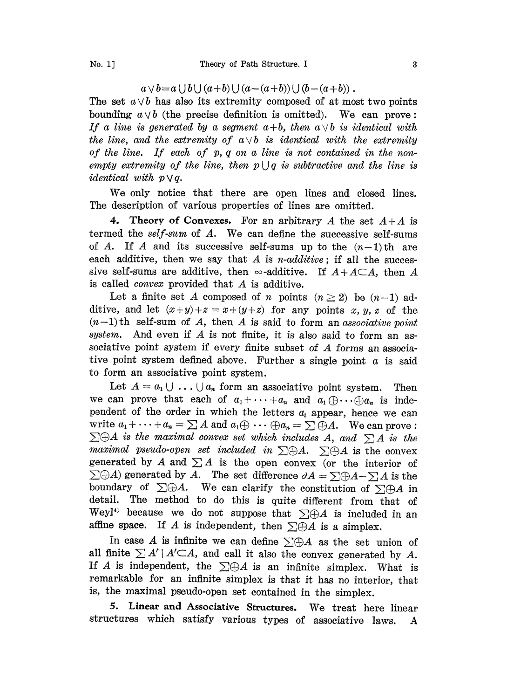# $a \vee b = a \cup b \cup (a+b) \cup (a-(a+b)) \cup (b-(a+b))$ .

The set  $a \vee b$  has also its extremity composed of at most two points bounding  $a \vee b$  (the precise definition is omitted). We can prove: If a line is generated by a segment  $a+b$ , then  $a \vee b$  is identical with the line, and the extremity of  $a \vee b$  is identical with the extremity of the line. If each of  $p, q$  on a line is not contained in the nonempty extremity of the line, then  $p \cup q$  is subtractive and the line is *identical* with  $p \vee q$ .

We only notice that there are open lines and closed lines. The description of various properties of lines are omitted.

4. Theory of Convexes. For an arbitrary A the set  $A + A$  is termed the self-sum of A. We can define the successive self-sums of A. If A and its successive self-sums up to the  $(n-1)$ th are each additive, then we say that A is *n*-additive; if all the successive self-sums are additive, then  $\infty$ -additive. If  $A + A \subset A$ , then A is called convex provided that A is additive.

Let a finite set A composed of n points  $(n \geq 2)$  be  $(n-1)$  additive, and let  $(x+y)+z = x+(y+z)$  for any points x, y, z of the  $(n-1)$  th self-sum of A, then A is said to form an associative point system. And even if  $A$  is not finite, it is also said to form an associative point system if every finite subset of A forms an associative point system defined above. Further a single point  $\alpha$  is said to form an associative point system.

Let  $A = a_1 \cup \ldots \cup a_n$  form an associative point system. Then we can prove that each of  $a_1 + \cdots + a_n$  and  $a_1 \oplus \cdots \oplus a_n$  is independent of the order in which the letters  $a_i$  appear, hence we can write  $a_1 + \cdots + a_n = \sum A$  and  $a_1 \oplus \cdots \oplus a_n = \sum \oplus A$ . We can prove: pendent of the order in which the letters  $a_i$  appear, hence we can<br>write  $a_1 + \cdots + a_n = \sum A$  and  $a_1 \oplus \cdots \oplus a_n = \sum \oplus A$ . We can prove:<br> $\sum \oplus A$  is the maximal convex set which includes A, and  $\sum A$  is the<br>maximal pseudo-op write  $a_1 + \cdots + a_n = \sum A$  and  $a_1 \oplus \cdots \oplus a_n = \sum \oplus A$ . We can prove:<br>  $\sum \oplus A$  is the maximal convex set which includes A, and  $\sum A$  is the<br>
maximal pseudo-open set included in  $\sum \oplus A$ .  $\sum \oplus A$  is the convex<br>
generated by *maximal pseudo-open set included in*  $\Sigma \oplus A$ .  $\Sigma \oplus A$  is the convex generated by A and  $\Sigma A$  is the open convex (or the interior of maximum pseudo-open set included in  $\sum \oplus A$ .  $\sum \oplus A$  is the convex<br>generated by A and  $\sum A$  is the open convex (or the interior of<br> $\sum \oplus A$ ) generated by A. The set difference  $\partial A = \sum \oplus A - \sum A$  is the<br>boundary of  $\sum \oplus A$ boundary of  $\Sigma \oplus A$ . We can clarify the constitution of  $\Sigma \oplus A$  in detail. The method to do this is quite different from that of detail. The method to do this is quite different from that of Weyl<sup>4)</sup> because we do not suppose that  $\Sigma \oplus A$  is included in an affine space. If A is independent, then  $\Sigma \oplus A$  is a simplex.<br>In case A is infinite we can affine space. If A is independent, then  $\Sigma \oplus A$  is a simplex.<br>In case A is infinite we can define  $\Sigma \oplus A$  as the set union of

all finite  $\sum A' | A' \subset A$ , and call it also the convex generated by A. If A is independent, the  $\Sigma \oplus A$  is an infinite simplex. What is remarkable for an infinite simplex is that it has no interior, that is, the maximal pseudo-open set contained in the simplex.

5. Linear and Associative Structures. We treat here linear structures which satisfy various types of associative laws. A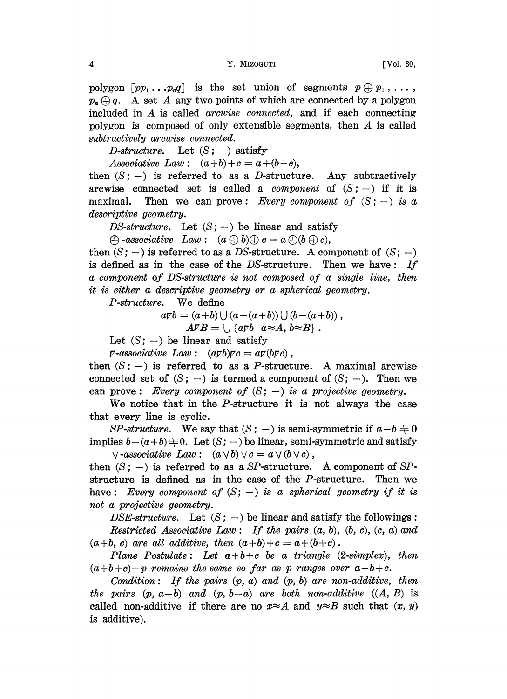4 **Y. MIZOGUTI CONSERVANT CONSUMING TYPE (VOI. 30,** 

polygon  $[pp_1 \ldots p_nq]$  is the set union of segments  $p \oplus p_1, \ldots$ ,  $p_n \oplus q$ . A set A any two points of which are connected by a polygon included in  $A$  is called *arcwise connected*, and if each connecting polygon is composed of only extensible segments, then A is called subtractively arcwise connected.

D-structure. Let  $(S; -)$  satisfy

Associative Law:  $(a+b)+c = a+(b+c)$ ,

then  $(S; -)$  is referred to as a *D*-structure. Any subtractively arcwise connected set is called a *component* of  $(S;-)$  if it is maximal. Then we can prove: Every component of  $(S;-)$  is a descriptive geometry.

DS-structure. Let  $(S; -)$  be linear and satisfy

 $\oplus$  -associative Law:  $(a \oplus b) \oplus c = a \oplus (b \oplus c),$ 

then  $(S; -)$  is referred to as a DS-structure. A component of  $(S; -)$ is defined as in the case of the DS-structure. Then we have: If a component of DS-structure is not composed of a single line, then it is either a descriptive geometry or a spherical geometry.

P-structure. We define

$$
a\mathcal{V}b = (a+b) \cup (a-(a+b)) \cup (b-(a+b)),
$$
  
 
$$
A\mathcal{V}B = \cup \{a\mathcal{V}b \mid a \approx A, b \approx B\}.
$$

Let  $(S; -)$  be linear and satisfy

 $\nu$ -associative Law :  $(a \nabla b)\nabla c = a \nabla (b \nabla c)$ ,

then  $(S; -)$  is referred to as a P-structure. A maximal arcwise connected set of  $(S; -)$  is termed a component of  $(S; -)$ . Then we can prove: Every component of  $(S; -)$  is a projective geometry.

We notice that in the P-structure it is not always the case that every line is cyclic.

SP-structure. We say that  $(S; -)$  is semi-symmetric if  $a-b \neq 0$ implies  $b-(a+b) \neq 0$ . Let  $(S; -)$  be linear, semi-symmetric and satisfy  $\vee$ -associative Law:  $(a \vee b) \vee c = a \vee (b \vee c)$ ,

then  $(S; -)$  is referred to as a SP-structure. A component of SPstructure is defined as in the case of the P-structure. Then we have: Every component of  $(S; -)$  is a spherical geometry if it is not a projective geometry.

DSE-structure. Let  $(S; -)$  be linear and satisfy the followings: Restricted Associative Law: If the pairs  $(a, b)$ ,  $(b, c)$ ,  $(c, a)$  and  $(a+b, c)$  are all additive, then  $(a+b)+c = a+(b+c)$ .

Plane Postulate: Let  $a+b+c$  be a triangle (2-simplex), then  $(a+b+c)-p$  remains the same so far as p ranges over  $a+b+c$ .

Condition: If the pairs  $(p, a)$  and  $(p, b)$  are non-additive, then the pairs  $(p, a-b)$  and  $(p, b-a)$  are both non-additive  $((A, B)$  is called non-additive if there are no  $x \approx A$  and  $y \approx B$  such that  $(x, y)$ is additive).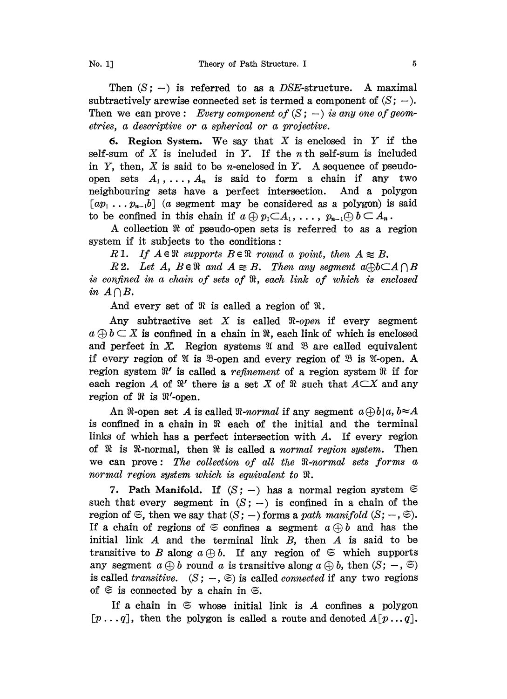Then  $(S; -)$  is referred to as a DSE-structure. A maximal subtractively arcwise connected set is termed a component of  $(S; -)$ . Then we can prove: Every component of  $(S; -)$  is any one of geometries, a descriptive or a spherical or a projective.

6. Region System. We say that X is enclosed in Y if the self-sum of  $X$  is included in  $Y$ . If the *n* th self-sum is included in  $Y$ , then,  $X$  is said to be *n*-enclosed in  $Y$ . A sequence of pseudoopen sets  $A_1, \ldots, A_n$  is said to form a chain if any two neighbouring sets have a perfect intersection. And a polygon  $[a p_1 \ldots p_{n-1} b]$  (a segment may be considered as a polygon) is said to be confined in this chain if  $a \oplus p_1 \subset A_1, \ldots, p_{n-1} \oplus b \subset A_n$ .

A collection  $\Re$  of pseudo-open sets is referred to as a region system if it subjects to the conditions:

R 1. If  $A \in \mathbb{R}$  supports  $B \in \mathbb{R}$  round a point, then  $A \n\approx B$ .

R2. Let A,  $B \in \mathbb{R}$  and  $A \ncong B$ . Then any segment  $a \oplus b \subset A \cap B$ is confined in a chain of sets of  $\Re$ , each link of which is enclosed in  $A \cap B$ .

And every set of  $\Re$  is called a region of  $\Re$ .

Any subtractive set X is called  $\Re$ -open if every segment  $a \oplus b \subset X$  is confined in a chain in  $\Re$ , each link of which is enclosed and perfect in X. Region systems  $\mathfrak A$  and  $\mathfrak B$  are called equivalent if every region of  $\mathfrak A$  is  $\mathfrak B$ -open and every region of  $\mathfrak B$  is  $\mathfrak A$ -open. A region system  $\mathbb{R}'$  is called a refinement of a region system  $\mathbb{R}$  if for each region A of  $\mathbb{R}'$  there is a set X of  $\mathbb{R}$  such that  $A \subset X$  and any region of  $\Re$  is  $\Re'$ -open.

An  $\Re$ -open set A is called  $\Re$ -normal if any segment  $a \oplus b | a, b \cong A$ is confined in a chain in  $\Re$  each of the initial and the terminal links of which has a perfect intersection with  $A$ . If every region of  $\mathcal{R}$  is  $\mathcal{R}$ -normal, then  $\mathcal{R}$  is called a normal region system. Then we can prove: The collection of all the  $R$ -normal sets forms a normal region system which is equivalent to  $\Re$ .

7. Path Manifold. If  $(S; -)$  has a normal region system  $\mathfrak{S}$ such that every segment in  $(S; -)$  is confined in a chain of the region of  $\mathfrak{S}$ , then we say that  $(S; -)$  forms a path manifold  $(S; -, \mathfrak{S})$ . If a chain of regions of  $\mathfrak{S}$  confines a segment  $a \oplus b$  and has the initial link  $A$  and the terminal link  $B$ , then  $A$  is said to be transitive to B along  $a \oplus b$ . If any region of  $\mathfrak{S}$  which supports any segment  $a \oplus b$  round a is transitive along  $a \oplus b$ , then  $(S; -, \mathfrak{S})$ is called *transitive.*  $(S; -, \mathfrak{S})$  is called *connected* if any two regions of  $\mathfrak{S}$  is connected by a chain in  $\mathfrak{S}$ .

If a chain in  $\mathfrak S$  whose initial link is A confines a polygon  $[p \dots q]$ , then the polygon is called a route and denoted  $A[p \dots q]$ .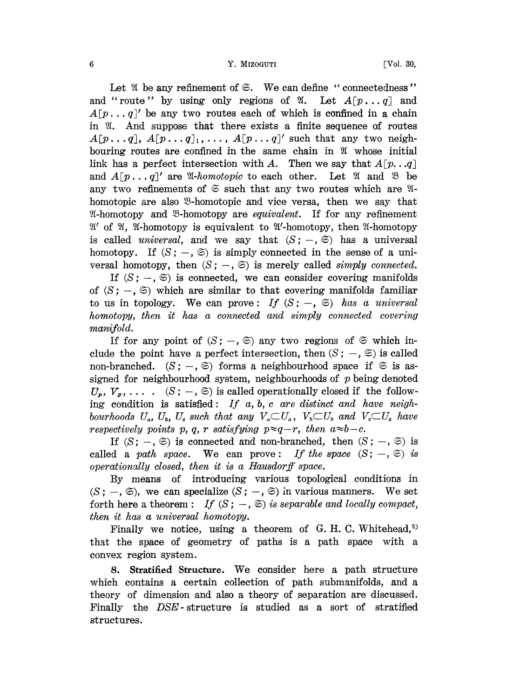Let  $\mathfrak{A}$  be any refinement of  $\mathfrak{S}$ . We can define "connectedness" and "route" by using only regions of  $\mathfrak{A}$ . Let  $A[p \dots q]$  and  $A[p... q]$  be any two routes each of which is confined in a chain in  $\mathfrak{A}$ . And suppose that there exists a finite sequence of routes  $A[p \dots q], A[p \dots q]_1, \dots, A[p \dots q]'$  such that any two neighbouring routes are confined in the same chain in  $\mathfrak V$  whose initial link has a perfect intersection with A. Then we say that  $A[p...q]$ and  $A[p... q]'$  are  $\mathfrak A$ -homotopic to each other. Let  $\mathfrak A$  and  $\mathfrak B$  be any two refinements of  $\mathfrak{S}$  such that any two routes which are  $\mathfrak{A}$ - $\mathcal{X}$ -homotopy and  $\mathcal{X}$ -homotopy are *equivalent*. If for any refinement  $\mathfrak{A}'$  of  $\mathfrak{A}$ ,  $\mathfrak{A}'$ -homotopy is equivalent to  $\mathfrak{A}'$ -homotopy, then  $\mathfrak{A}$ -homotopy homotopic are also <sup>93</sup>-homotopic and vice versa, then we say that is called *universal*, and we say that  $(S; -, \mathfrak{S})$  has a universal homotopy. If  $(S; -, \mathfrak{S})$  is simply connected in the sense of a universal homotopy, then  $(S; -, \mathfrak{S})$  is merely called simply connected.

If  $(S; -, \mathfrak{S})$  is connected, we can consider covering manifolds of  $(S; -, \mathfrak{S})$  which are similar to that covering manifolds familiar to us in topology. We can prove: If  $(S; -, \mathfrak{S})$  has a universal homotopy, then it has a connected and simply connected covering  $manifold.$ 

If for any point of  $(S; -, \mathfrak{S})$  any two regions of  $\mathfrak{S}$  which include the point have a perfect intersection, then  $(S; -, \mathfrak{S})$  is called non-branched.  $(S; -, \mathfrak{S})$  forms a neighbourhood space if  $\mathfrak{S}$  is assigned for neighbourhood system, neighbourhoods of  $p$  being denoted  $U_p, V_p, \ldots$  (S;  $-$ ,  $\Im$ ) is called operationally closed if the following condition is satisfied: If  $a, b, c$  are distinct and have neighbourhoods  $U_a$ ,  $U_b$ ,  $U_c$  such that any  $V_a \subset U_a$ ,  $V_b \subset U_b$  and  $V_c \subset U_c$  have respectively points p, q, r satisfying  $p \approx q-r$ , then  $a \approx b-c$ .

If  $(S; -, \mathfrak{S})$  is connected and non-branched, then  $(S; -, \mathfrak{S})$  is called a path space. We can prove: If the space  $(S; -, \mathfrak{S})$  is operationally closed, then it is a Hausdorff space.

By means of introducing various topological conditions in  $(S; -, \mathfrak{S})$ , we can specialize  $(S; -, \mathfrak{S})$  in various manners. We set forth here a theorem : If  $(S; -, \mathfrak{S})$  is separable and locally compact, then it has a universal homotopy.

Finally we notice, using a theorem of G.H.C. Whitehead,<sup>5)</sup> that the space of geometry of paths is a path space with a convex region system.

8. Stratified Structure. We consider here <sup>a</sup> path structure which contains a certain collection of path submanifolds, and a theory of dimension and also a theory of separation are discussed. Finally the *DSE*-structure is studied as a sort of stratified structures.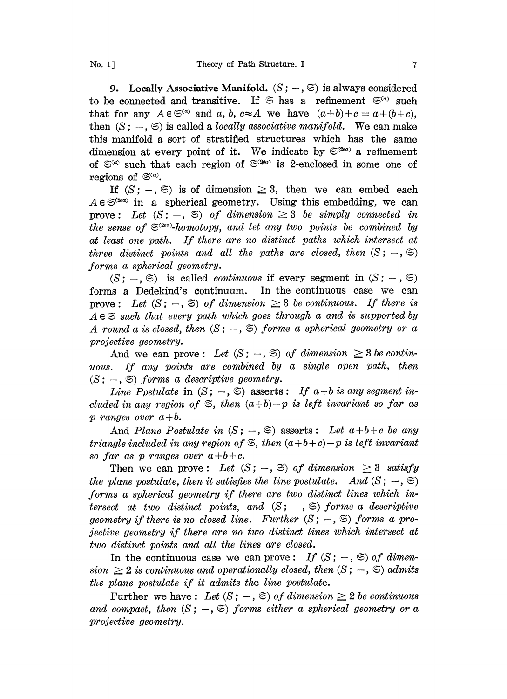9. Locally Associative Manifold.  $(S; -, \mathfrak{S})$  is always considered to be connected and transitive. If  $\mathfrak{S}$  has a refinement  $\mathfrak{S}^{(n)}$  such that for any  $A \in \mathfrak{S}^{(a)}$  and a, b,  $c \approx A$  we have  $(a+b)+c = a+(b+c)$ , then  $(S; -, \mathfrak{S})$  is called a *locally associative manifold*. We can make this manifold a sort of stratified structures which has the same dimension at every point of it. We indicate by  $\mathfrak{S}^{(2\alpha)}$  a refinement of  $\mathfrak{S}^{(a)}$  such that each region of  $\mathfrak{S}^{(2ea)}$  is 2-enclosed in some one of regions of  $\mathfrak{S}^{(a)}$ .

If  $(S; -, \mathfrak{S})$  is of dimension  $\geq 3$ , then we can embed each  $A \in \mathfrak{S}^{(2\alpha\alpha)}$  in a spherical geometry. Using this embedding, we can prove: Let  $(S; -, \mathfrak{S})$  of dimension  $\geq 3$  be simply connected in the sense of  $\mathfrak{S}^{(2\alpha)}$ -homotopy, and let any two points be combined by at least one path. If there are no distinct paths which intersect at three distinct points and all the paths are closed, then  $(S; -, \mathfrak{S})$ forms a spherical geometry.

 $(S; -, \mathfrak{S})$  is called *continuous* if every segment in  $(S; -, \mathfrak{S})$ forms a Dedekind's continuum. In the continuous case we can prove: Let  $(S; -, \mathfrak{S})$  of dimension  $\geq 3$  be continuous. If there is  $A \in \mathfrak{S}$  such that every path which goes through a and is supported by A round a is closed, then  $(S; -, \mathfrak{S})$  forms a spherical geometry or a projective geometry.

And we can prove: Let  $(S; -, \mathfrak{S})$  of dimension  $\geq 3$  be continuous. If any points are combined by a single open path, then  $(S; -, \mathfrak{S})$  forms a descriptive geometry.

Line Postulate in  $(S; -, \mathfrak{S})$  asserts: If  $a + b$  is any segment included in any region of  $\mathfrak{S}$ , then  $(a+b)-p$  is left invariant so far as p ranges over  $a+b$ .

And Plane Postulate in  $(S; -, \mathfrak{S})$  asserts: Let  $a+b+c$  be any triangle included in any region of  $\mathfrak{S}$ , then  $(a+b+c)-p$  is left invariant so far as p ranges over  $a+b+c$ .

Then we can prove: Let  $(S; -, \mathfrak{S})$  of dimension  $\geq 3$  satisfy the plane postulate, then it satisfies the line postulate. And  $(S; -, \mathfrak{S})$ forms a spherical geometry if there are two distinct lines which intersect at two distinct points, and  $(S; -, \mathfrak{S})$  forms a descriptive geometry if there is no closed line. Further  $(S; -, \mathfrak{S})$  forms a projective geometry if there are no two distinct lines which intersect at two distinct points and all the lines are closed.

In the continuous case we can prove: If  $(S; -, \mathfrak{S})$  of dimension  $\geq 2$  is continuous and operationally closed, then  $(S; -, \mathfrak{S})$  admits the plane postulate if it admits the line postulate.

Further we have: Let  $(S; -, \mathfrak{S})$  of dimension  $\geq 2$  be continuous and compact, then  $(S; -, \mathfrak{S})$  forms either a spherical geometry or a projective geometry.